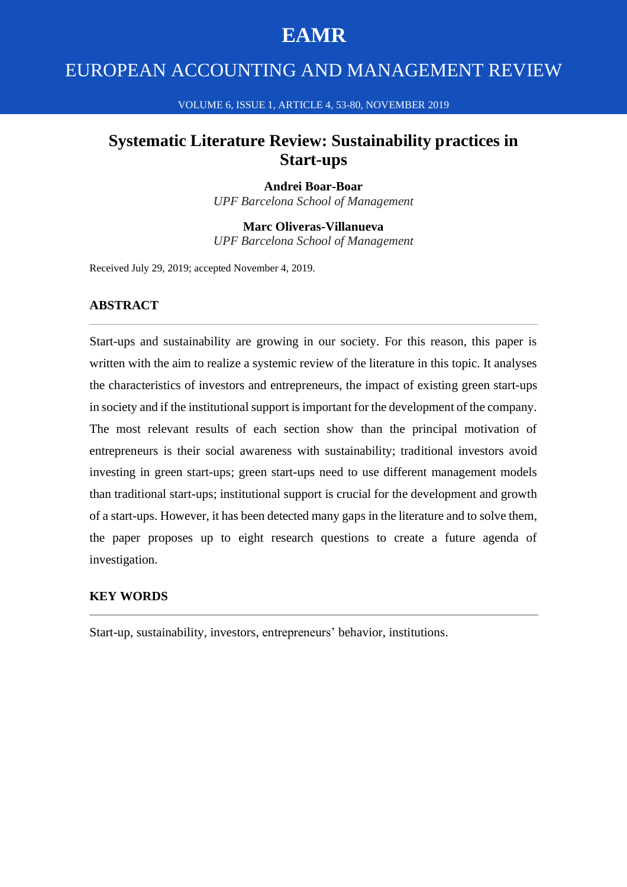# **EAMR**

# EUROPEAN ACCOUNTING AND MANAGEMENT REVIEW

VOLUME 6, ISSUE 1, ARTICLE 4, 53-80, NOVEMBER 2019

## **Systematic Literature Review: Sustainability practices in Start-ups**

#### **Andrei Boar-Boar**

*UPF Barcelona School of Management*

**Marc Oliveras-Villanueva** *UPF Barcelona School of Management*

Received July 29, 2019; accepted November 4, 2019.

### **ABSTRACT**

Start-ups and sustainability are growing in our society. For this reason, this paper is written with the aim to realize a systemic review of the literature in this topic. It analyses the characteristics of investors and entrepreneurs, the impact of existing green start-ups in society and if the institutional support is important for the development of the company. The most relevant results of each section show than the principal motivation of entrepreneurs is their social awareness with sustainability; traditional investors avoid investing in green start-ups; green start-ups need to use different management models than traditional start-ups; institutional support is crucial for the development and growth of a start-ups. However, it has been detected many gaps in the literature and to solve them, the paper proposes up to eight research questions to create a future agenda of investigation.

### **KEY WORDS**

Start-up, sustainability, investors, entrepreneurs' behavior, institutions.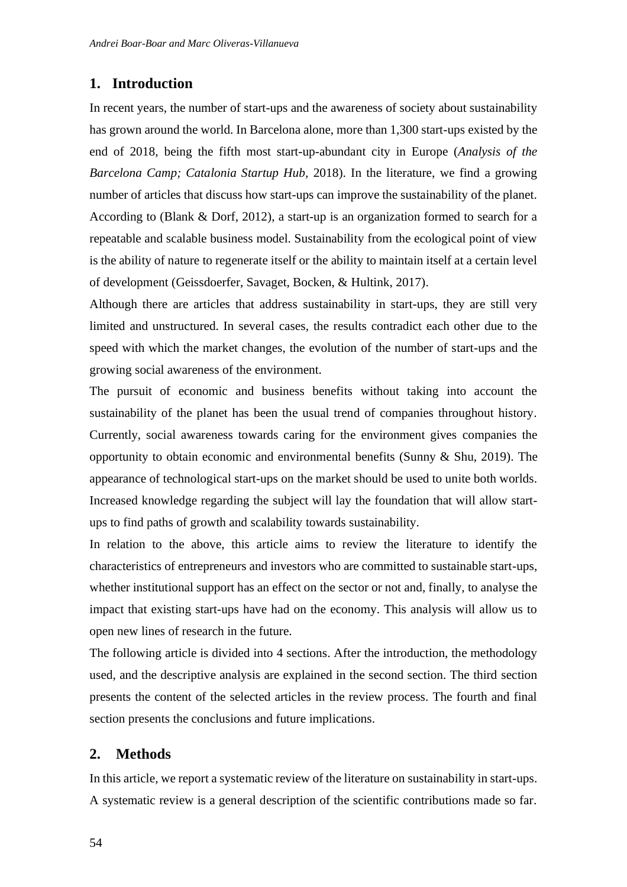### **1. Introduction**

In recent years, the number of start-ups and the awareness of society about sustainability has grown around the world. In Barcelona alone, more than 1,300 start-ups existed by the end of 2018, being the fifth most start-up-abundant city in Europe (*Analysis of the Barcelona Camp; Catalonia Startup Hub,* 2018). In the literature, we find a growing number of articles that discuss how start-ups can improve the sustainability of the planet. According to (Blank & Dorf, 2012), a start-up is an organization formed to search for a repeatable and scalable business model. Sustainability from the ecological point of view is the ability of nature to regenerate itself or the ability to maintain itself at a certain level of development (Geissdoerfer, Savaget, Bocken, & Hultink, 2017).

Although there are articles that address sustainability in start-ups, they are still very limited and unstructured. In several cases, the results contradict each other due to the speed with which the market changes, the evolution of the number of start-ups and the growing social awareness of the environment.

The pursuit of economic and business benefits without taking into account the sustainability of the planet has been the usual trend of companies throughout history. Currently, social awareness towards caring for the environment gives companies the opportunity to obtain economic and environmental benefits (Sunny & Shu, 2019). The appearance of technological start-ups on the market should be used to unite both worlds. Increased knowledge regarding the subject will lay the foundation that will allow startups to find paths of growth and scalability towards sustainability.

In relation to the above, this article aims to review the literature to identify the characteristics of entrepreneurs and investors who are committed to sustainable start-ups, whether institutional support has an effect on the sector or not and, finally, to analyse the impact that existing start-ups have had on the economy. This analysis will allow us to open new lines of research in the future.

The following article is divided into 4 sections. After the introduction, the methodology used, and the descriptive analysis are explained in the second section. The third section presents the content of the selected articles in the review process. The fourth and final section presents the conclusions and future implications.

### **2. Methods**

In this article, we report a systematic review of the literature on sustainability in start-ups. A systematic review is a general description of the scientific contributions made so far.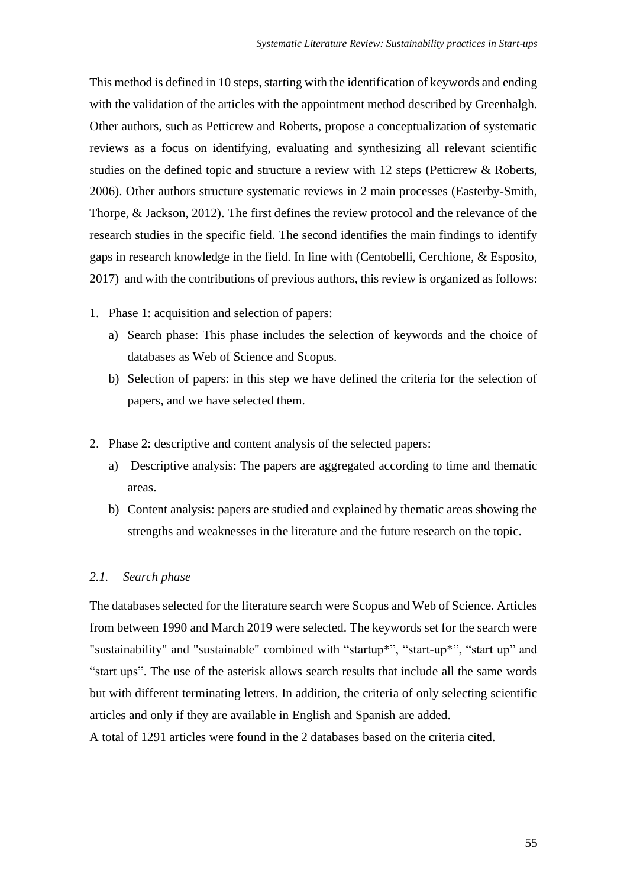This method is defined in 10 steps, starting with the identification of keywords and ending with the validation of the articles with the appointment method described by Greenhalgh. Other authors, such as Petticrew and Roberts, propose a conceptualization of systematic reviews as a focus on identifying, evaluating and synthesizing all relevant scientific studies on the defined topic and structure a review with 12 steps (Petticrew & Roberts, 2006). Other authors structure systematic reviews in 2 main processes (Easterby-Smith, Thorpe, & Jackson, 2012). The first defines the review protocol and the relevance of the research studies in the specific field. The second identifies the main findings to identify gaps in research knowledge in the field. In line with (Centobelli, Cerchione, & Esposito, 2017) and with the contributions of previous authors, this review is organized as follows:

- 1. Phase 1: acquisition and selection of papers:
	- a) Search phase: This phase includes the selection of keywords and the choice of databases as Web of Science and Scopus.
	- b) Selection of papers: in this step we have defined the criteria for the selection of papers, and we have selected them.
- 2. Phase 2: descriptive and content analysis of the selected papers:
	- a) Descriptive analysis: The papers are aggregated according to time and thematic areas.
	- b) Content analysis: papers are studied and explained by thematic areas showing the strengths and weaknesses in the literature and the future research on the topic.

### *2.1. Search phase*

The databases selected for the literature search were Scopus and Web of Science. Articles from between 1990 and March 2019 were selected. The keywords set for the search were "sustainability" and "sustainable" combined with "startup\*", "start-up\*", "start up" and "start ups". The use of the asterisk allows search results that include all the same words but with different terminating letters. In addition, the criteria of only selecting scientific articles and only if they are available in English and Spanish are added.

A total of 1291 articles were found in the 2 databases based on the criteria cited.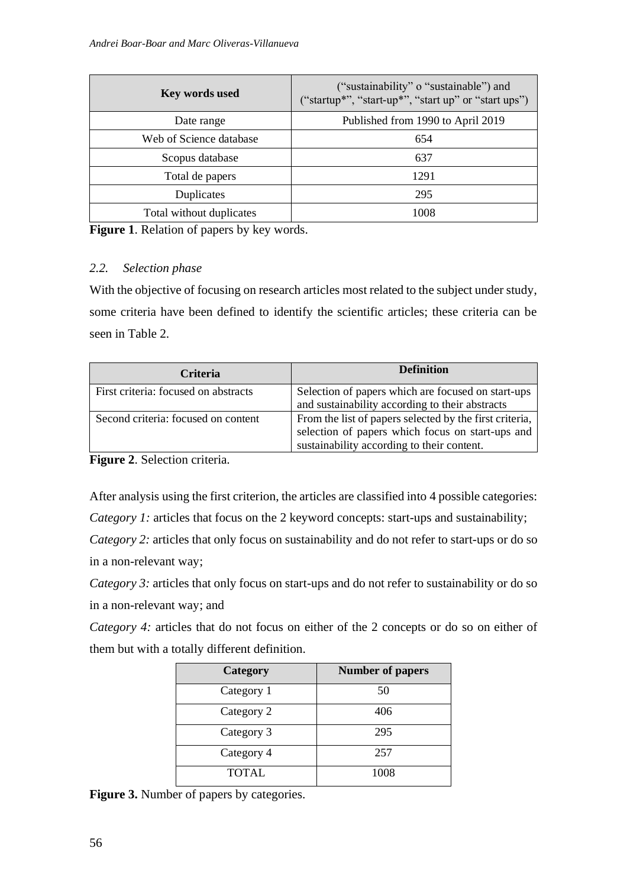| Key words used           | ("sustainability" o "sustainable") and<br>("startup*", "start-up*", "start up" or "start ups") |
|--------------------------|------------------------------------------------------------------------------------------------|
| Date range               | Published from 1990 to April 2019                                                              |
| Web of Science database  | 654                                                                                            |
| Scopus database          | 637                                                                                            |
| Total de papers          | 1291                                                                                           |
| Duplicates               | 295                                                                                            |
| Total without duplicates | 1008                                                                                           |

**Figure 1**. Relation of papers by key words.

### *2.2. Selection phase*

With the objective of focusing on research articles most related to the subject under study, some criteria have been defined to identify the scientific articles; these criteria can be seen in Table 2.

| <b>Criteria</b>                      | <b>Definition</b>                                                                                                                                         |
|--------------------------------------|-----------------------------------------------------------------------------------------------------------------------------------------------------------|
| First criteria: focused on abstracts | Selection of papers which are focused on start-ups<br>and sustainability according to their abstracts                                                     |
| Second criteria: focused on content  | From the list of papers selected by the first criteria,<br>selection of papers which focus on start-ups and<br>sustainability according to their content. |

**Figure 2**. Selection criteria.

After analysis using the first criterion, the articles are classified into 4 possible categories:

*Category 1:* articles that focus on the 2 keyword concepts: start-ups and sustainability;

*Category 2:* articles that only focus on sustainability and do not refer to start-ups or do so in a non-relevant way;

*Category 3:* articles that only focus on start-ups and do not refer to sustainability or do so in a non-relevant way; and

*Category 4:* articles that do not focus on either of the 2 concepts or do so on either of them but with a totally different definition.

| <b>Category</b> | <b>Number of papers</b> |
|-----------------|-------------------------|
| Category 1      | 50                      |
| Category 2      | 406                     |
| Category 3      | 295                     |
| Category 4      | 257                     |
| <b>TOTAL</b>    | 1008                    |

**Figure 3.** Number of papers by categories.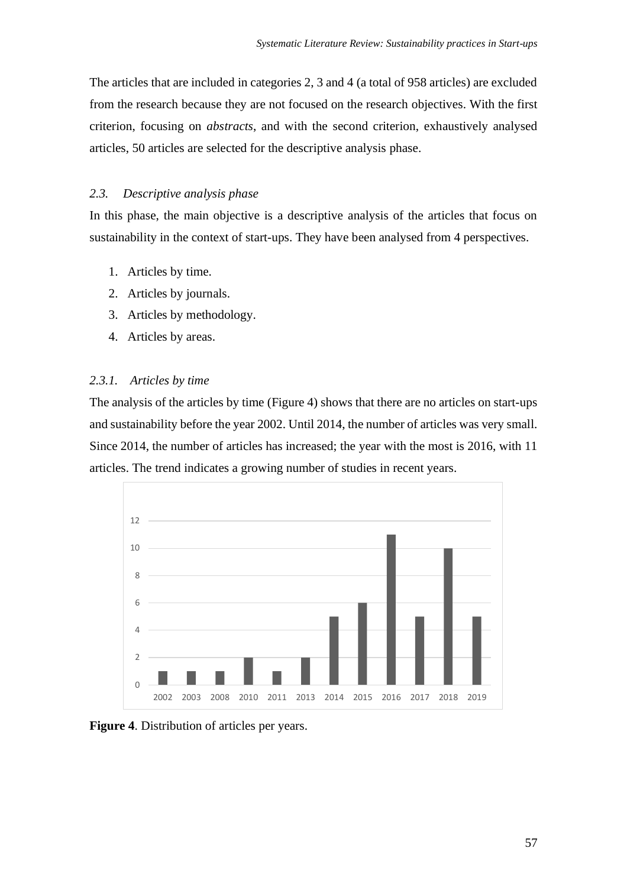The articles that are included in categories 2, 3 and 4 (a total of 958 articles) are excluded from the research because they are not focused on the research objectives. With the first criterion, focusing on *abstracts*, and with the second criterion, exhaustively analysed articles, 50 articles are selected for the descriptive analysis phase.

### *2.3. Descriptive analysis phase*

In this phase, the main objective is a descriptive analysis of the articles that focus on sustainability in the context of start-ups. They have been analysed from 4 perspectives.

- 1. Articles by time.
- 2. Articles by journals.
- 3. Articles by methodology.
- 4. Articles by areas.

### *2.3.1. Articles by time*

The analysis of the articles by time (Figure 4) shows that there are no articles on start-ups and sustainability before the year 2002. Until 2014, the number of articles was very small. Since 2014, the number of articles has increased; the year with the most is 2016, with 11 articles. The trend indicates a growing number of studies in recent years.



**Figure 4**. Distribution of articles per years.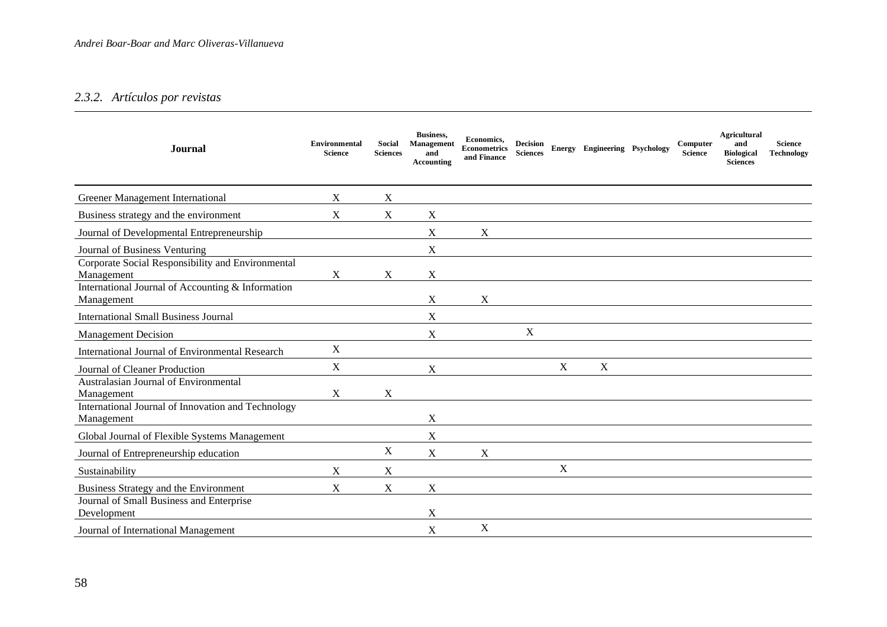## *2.3.2. Artículos por revistas*

| <b>Journal</b>                                                   | <b>Environmental</b><br><b>Science</b> | Social<br><b>Sciences</b> | Business,<br><b>Management</b><br>and<br><b>Accounting</b> | Economics,<br><b>Econometrics</b><br>and Finance | Decision<br><b>Sciences</b> |   | Energy Engineering Psychology | Computer<br><b>Science</b> | <b>Agricultural</b><br>and<br><b>Biological</b><br><b>Sciences</b> | <b>Science</b><br>Technology |
|------------------------------------------------------------------|----------------------------------------|---------------------------|------------------------------------------------------------|--------------------------------------------------|-----------------------------|---|-------------------------------|----------------------------|--------------------------------------------------------------------|------------------------------|
| Greener Management International                                 | X                                      | X                         |                                                            |                                                  |                             |   |                               |                            |                                                                    |                              |
| Business strategy and the environment                            | $\mathbf X$                            | $\mathbf X$               | X                                                          |                                                  |                             |   |                               |                            |                                                                    |                              |
| Journal of Developmental Entrepreneurship                        |                                        |                           | X                                                          | X                                                |                             |   |                               |                            |                                                                    |                              |
| Journal of Business Venturing                                    |                                        |                           | X                                                          |                                                  |                             |   |                               |                            |                                                                    |                              |
| Corporate Social Responsibility and Environmental<br>Management  | X                                      | X                         | X                                                          |                                                  |                             |   |                               |                            |                                                                    |                              |
| International Journal of Accounting & Information<br>Management  |                                        |                           | X                                                          | X                                                |                             |   |                               |                            |                                                                    |                              |
| <b>International Small Business Journal</b>                      |                                        |                           | X                                                          |                                                  |                             |   |                               |                            |                                                                    |                              |
| <b>Management Decision</b>                                       |                                        |                           | X                                                          |                                                  | $\mathbf X$                 |   |                               |                            |                                                                    |                              |
| International Journal of Environmental Research                  | X                                      |                           |                                                            |                                                  |                             |   |                               |                            |                                                                    |                              |
| Journal of Cleaner Production                                    | $\mathbf X$                            |                           | X                                                          |                                                  |                             | X | $\mathbf X$                   |                            |                                                                    |                              |
| Australasian Journal of Environmental<br>Management              | $\mathbf X$                            | X                         |                                                            |                                                  |                             |   |                               |                            |                                                                    |                              |
| International Journal of Innovation and Technology<br>Management |                                        |                           | X                                                          |                                                  |                             |   |                               |                            |                                                                    |                              |
| Global Journal of Flexible Systems Management                    |                                        |                           | X                                                          |                                                  |                             |   |                               |                            |                                                                    |                              |
| Journal of Entrepreneurship education                            |                                        | X                         | $\boldsymbol{\mathrm{X}}$                                  | X                                                |                             |   |                               |                            |                                                                    |                              |
| Sustainability                                                   | X                                      | $\boldsymbol{X}$          |                                                            |                                                  |                             | X |                               |                            |                                                                    |                              |
| Business Strategy and the Environment                            | $\mathbf X$                            | $\mathbf X$               | X                                                          |                                                  |                             |   |                               |                            |                                                                    |                              |
| Journal of Small Business and Enterprise<br>Development          |                                        |                           | X                                                          |                                                  |                             |   |                               |                            |                                                                    |                              |
| Journal of International Management                              |                                        |                           | $\boldsymbol{\mathrm{X}}$                                  | $\mathbf X$                                      |                             |   |                               |                            |                                                                    |                              |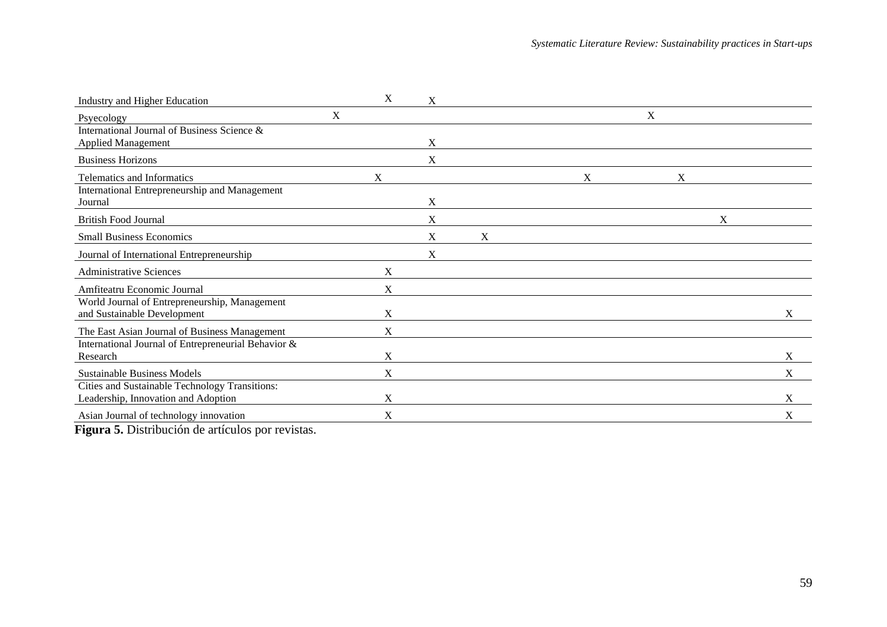| Industry and Higher Education                                                         |   | X           | X |   |  |   |   |   |                           |   |
|---------------------------------------------------------------------------------------|---|-------------|---|---|--|---|---|---|---------------------------|---|
| Psyecology                                                                            | X |             |   |   |  |   | X |   |                           |   |
| International Journal of Business Science &                                           |   |             | X |   |  |   |   |   |                           |   |
| <b>Applied Management</b><br><b>Business Horizons</b>                                 |   |             | X |   |  |   |   |   |                           |   |
| Telematics and Informatics                                                            |   | X           |   |   |  | X |   | X |                           |   |
| International Entrepreneurship and Management<br>Journal                              |   |             | X |   |  |   |   |   |                           |   |
| <b>British Food Journal</b>                                                           |   |             | X |   |  |   |   |   | $\boldsymbol{\mathrm{X}}$ |   |
| <b>Small Business Economics</b>                                                       |   |             | X | X |  |   |   |   |                           |   |
| Journal of International Entrepreneurship                                             |   |             | X |   |  |   |   |   |                           |   |
| <b>Administrative Sciences</b>                                                        |   | X           |   |   |  |   |   |   |                           |   |
| Amfiteatru Economic Journal                                                           |   | $\mathbf X$ |   |   |  |   |   |   |                           |   |
| World Journal of Entrepreneurship, Management<br>and Sustainable Development          |   | X           |   |   |  |   |   |   |                           | X |
| The East Asian Journal of Business Management                                         |   | X           |   |   |  |   |   |   |                           |   |
| International Journal of Entrepreneurial Behavior &<br>Research                       |   | X           |   |   |  |   |   |   |                           | X |
| <b>Sustainable Business Models</b>                                                    |   | X           |   |   |  |   |   |   |                           | X |
| Cities and Sustainable Technology Transitions:<br>Leadership, Innovation and Adoption |   | X           |   |   |  |   |   |   |                           | X |
| Asian Journal of technology innovation                                                |   | X           |   |   |  |   |   |   |                           | X |

**Figura 5.** Distribución de artículos por revistas.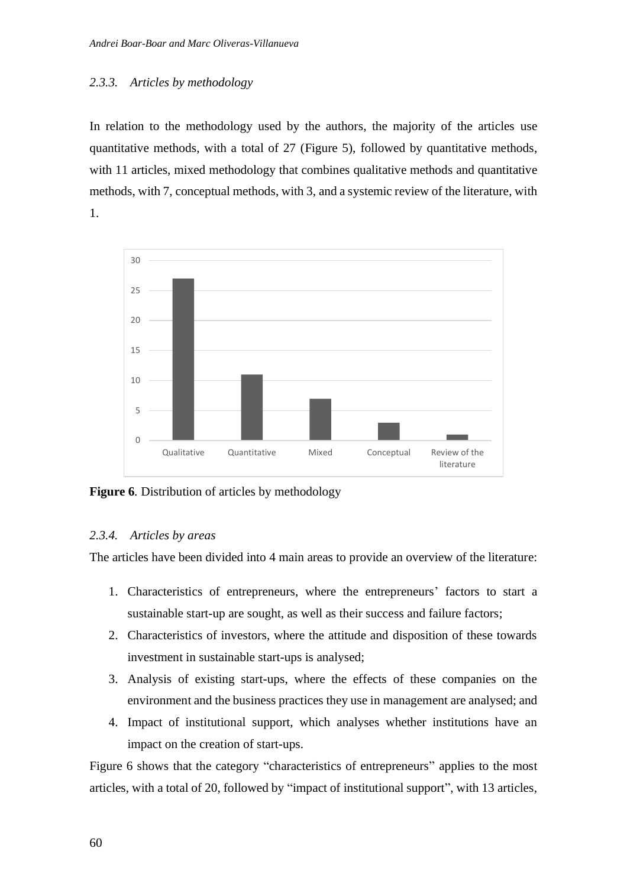### *2.3.3. Articles by methodology*

In relation to the methodology used by the authors, the majority of the articles use quantitative methods, with a total of 27 (Figure 5), followed by quantitative methods, with 11 articles, mixed methodology that combines qualitative methods and quantitative methods, with 7, conceptual methods, with 3, and a systemic review of the literature, with 1.



**Figure 6***.* Distribution of articles by methodology

#### *2.3.4. Articles by areas*

The articles have been divided into 4 main areas to provide an overview of the literature:

- 1. Characteristics of entrepreneurs, where the entrepreneurs' factors to start a sustainable start-up are sought, as well as their success and failure factors;
- 2. Characteristics of investors, where the attitude and disposition of these towards investment in sustainable start-ups is analysed;
- 3. Analysis of existing start-ups, where the effects of these companies on the environment and the business practices they use in management are analysed; and
- 4. Impact of institutional support, which analyses whether institutions have an impact on the creation of start-ups.

Figure 6 shows that the category "characteristics of entrepreneurs" applies to the most articles, with a total of 20, followed by "impact of institutional support", with 13 articles,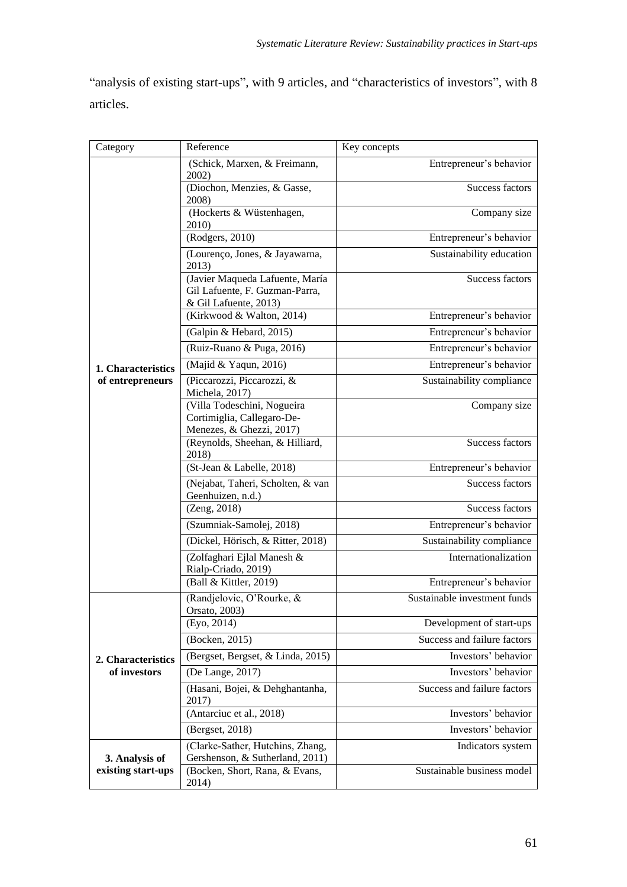"analysis of existing start-ups", with 9 articles, and "characteristics of investors", with 8 articles.

| Category           | Reference                                                                                  | Key concepts                 |
|--------------------|--------------------------------------------------------------------------------------------|------------------------------|
|                    | (Schick, Marxen, & Freimann,<br>2002)                                                      | Entrepreneur's behavior      |
|                    | (Diochon, Menzies, & Gasse,<br>2008)                                                       | Success factors              |
|                    | (Hockerts & Wüstenhagen,<br>2010)                                                          | Company size                 |
|                    | (Rodgers, 2010)                                                                            | Entrepreneur's behavior      |
|                    | (Lourenço, Jones, & Jayawarna,<br>2013)                                                    | Sustainability education     |
|                    | (Javier Maqueda Lafuente, María<br>Gil Lafuente, F. Guzman-Parra,<br>& Gil Lafuente, 2013) | Success factors              |
|                    | (Kirkwood & Walton, 2014)                                                                  | Entrepreneur's behavior      |
|                    | (Galpin & Hebard, 2015)                                                                    | Entrepreneur's behavior      |
|                    | (Ruiz-Ruano & Puga, 2016)                                                                  | Entrepreneur's behavior      |
| 1. Characteristics | (Majid & Yaqun, 2016)                                                                      | Entrepreneur's behavior      |
| of entrepreneurs   | (Piccarozzi, Piccarozzi, &<br>Michela, 2017)                                               | Sustainability compliance    |
|                    | (Villa Todeschini, Nogueira<br>Cortimiglia, Callegaro-De-<br>Menezes, & Ghezzi, 2017)      | Company size                 |
|                    | (Reynolds, Sheehan, & Hilliard,<br>2018)                                                   | <b>Success factors</b>       |
|                    | (St-Jean & Labelle, 2018)                                                                  | Entrepreneur's behavior      |
|                    | (Nejabat, Taheri, Scholten, & van<br>Geenhuizen, n.d.)                                     | Success factors              |
|                    | (Zeng, 2018)                                                                               | Success factors              |
|                    | (Szumniak-Samolej, 2018)                                                                   | Entrepreneur's behavior      |
|                    | (Dickel, Hörisch, & Ritter, 2018)                                                          | Sustainability compliance    |
|                    | (Zolfaghari Ejlal Manesh &<br>Rialp-Criado, 2019)                                          | Internationalization         |
|                    | (Ball & Kittler, 2019)                                                                     | Entrepreneur's behavior      |
|                    | (Randjelovic, O'Rourke, &<br>Orsato, 2003)                                                 | Sustainable investment funds |
|                    | (Eyo, 2014)                                                                                | Development of start-ups     |
|                    | (Bocken, 2015)                                                                             | Success and failure factors  |
| 2. Characteristics | (Bergset, Bergset, & Linda, 2015)                                                          | Investors' behavior          |
| of investors       | (De Lange, 2017)                                                                           | Investors' behavior          |
|                    | (Hasani, Bojei, & Dehghantanha,<br>2017)                                                   | Success and failure factors  |
|                    | (Antarciuc et al., 2018)                                                                   | Investors' behavior          |
|                    | (Bergset, 2018)                                                                            | Investors' behavior          |
| 3. Analysis of     | (Clarke-Sather, Hutchins, Zhang,<br>Gershenson, & Sutherland, 2011)                        | Indicators system            |
| existing start-ups | (Bocken, Short, Rana, & Evans,<br>2014)                                                    | Sustainable business model   |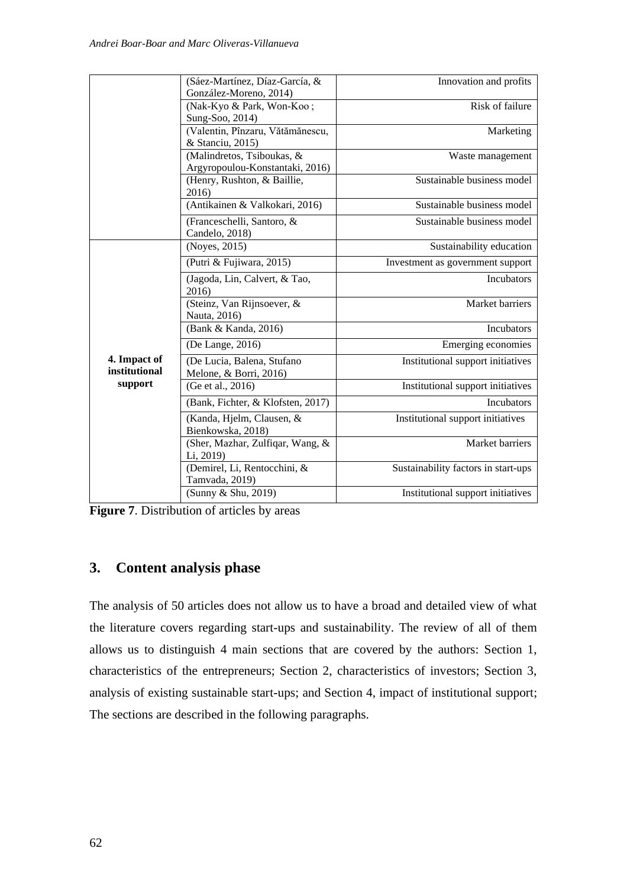|                               | (Sáez-Martínez, Díaz-García, &                                 | Innovation and profits              |
|-------------------------------|----------------------------------------------------------------|-------------------------------------|
|                               | González-Moreno, 2014)                                         |                                     |
|                               | (Nak-Kyo & Park, Won-Koo;                                      | Risk of failure                     |
|                               | Sung-Soo, 2014)                                                |                                     |
|                               | (Valentin, Pînzaru, Vătămănescu,                               | Marketing                           |
|                               | & Stanciu, 2015)                                               |                                     |
|                               | (Malindretos, Tsiboukas, &                                     | Waste management                    |
|                               | Argyropoulou-Konstantaki, 2016)<br>(Henry, Rushton, & Baillie, | Sustainable business model          |
|                               | 2016)                                                          |                                     |
|                               | (Antikainen & Valkokari, 2016)                                 | Sustainable business model          |
|                               | (Franceschelli, Santoro, &<br>Candelo, 2018)                   | Sustainable business model          |
|                               | (Noyes, 2015)                                                  | Sustainability education            |
|                               | (Putri & Fujiwara, 2015)                                       | Investment as government support    |
|                               | (Jagoda, Lin, Calvert, & Tao,<br>2016)                         | Incubators                          |
|                               | (Steinz, Van Rijnsoever, &<br>Nauta, 2016)                     | Market barriers                     |
|                               | (Bank & Kanda, 2016)                                           | Incubators                          |
|                               | (De Lange, 2016)                                               | Emerging economies                  |
| 4. Impact of<br>institutional | (De Lucia, Balena, Stufano<br>Melone, & Borri, 2016)           | Institutional support initiatives   |
| support                       | (Ge et al., 2016)                                              | Institutional support initiatives   |
|                               | (Bank, Fichter, & Klofsten, 2017)                              | Incubators                          |
|                               | (Kanda, Hjelm, Clausen, &<br>Bienkowska, 2018)                 | Institutional support initiatives   |
|                               | (Sher, Mazhar, Zulfiqar, Wang, &<br>Li, 2019)                  | Market barriers                     |
|                               | (Demirel, Li, Rentocchini, &<br>Tamvada, 2019)                 | Sustainability factors in start-ups |
|                               | (Sunny & Shu, 2019)                                            | Institutional support initiatives   |

**Figure 7**. Distribution of articles by areas

## **3. Content analysis phase**

The analysis of 50 articles does not allow us to have a broad and detailed view of what the literature covers regarding start-ups and sustainability. The review of all of them allows us to distinguish 4 main sections that are covered by the authors: Section 1, characteristics of the entrepreneurs; Section 2, characteristics of investors; Section 3, analysis of existing sustainable start-ups; and Section 4, impact of institutional support; The sections are described in the following paragraphs.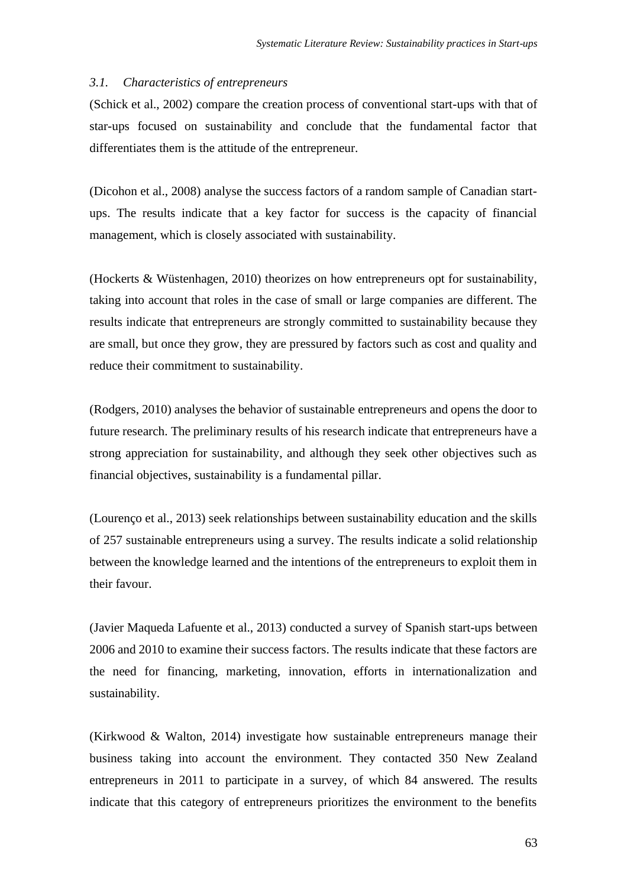#### *3.1. Characteristics of entrepreneurs*

(Schick et al., 2002) compare the creation process of conventional start-ups with that of star-ups focused on sustainability and conclude that the fundamental factor that differentiates them is the attitude of the entrepreneur.

(Dicohon et al., 2008) analyse the success factors of a random sample of Canadian startups. The results indicate that a key factor for success is the capacity of financial management, which is closely associated with sustainability.

(Hockerts & Wüstenhagen, 2010) theorizes on how entrepreneurs opt for sustainability, taking into account that roles in the case of small or large companies are different. The results indicate that entrepreneurs are strongly committed to sustainability because they are small, but once they grow, they are pressured by factors such as cost and quality and reduce their commitment to sustainability.

(Rodgers, 2010) analyses the behavior of sustainable entrepreneurs and opens the door to future research. The preliminary results of his research indicate that entrepreneurs have a strong appreciation for sustainability, and although they seek other objectives such as financial objectives, sustainability is a fundamental pillar.

(Lourenço et al., 2013) seek relationships between sustainability education and the skills of 257 sustainable entrepreneurs using a survey. The results indicate a solid relationship between the knowledge learned and the intentions of the entrepreneurs to exploit them in their favour.

(Javier Maqueda Lafuente et al., 2013) conducted a survey of Spanish start-ups between 2006 and 2010 to examine their success factors. The results indicate that these factors are the need for financing, marketing, innovation, efforts in internationalization and sustainability.

(Kirkwood & Walton, 2014) investigate how sustainable entrepreneurs manage their business taking into account the environment. They contacted 350 New Zealand entrepreneurs in 2011 to participate in a survey, of which 84 answered. The results indicate that this category of entrepreneurs prioritizes the environment to the benefits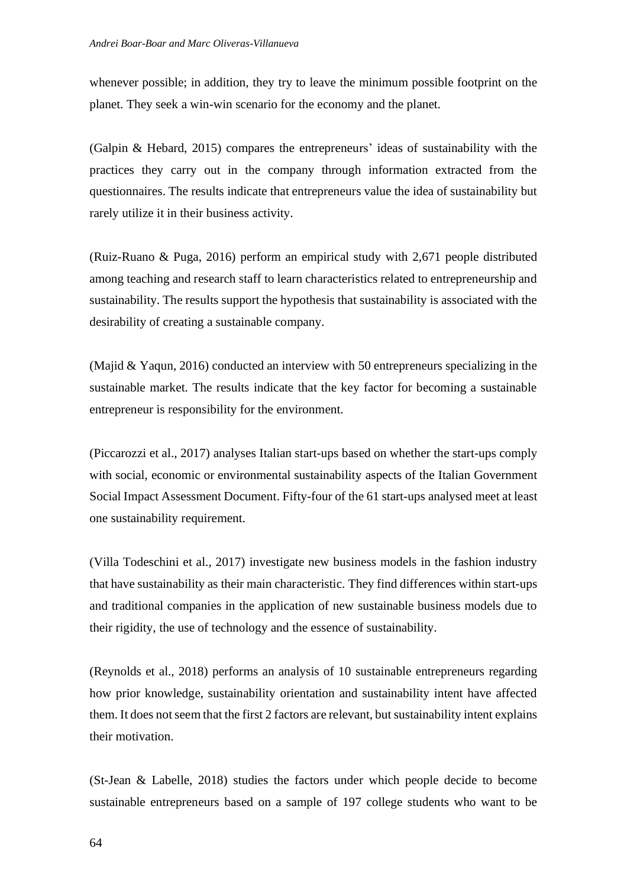whenever possible; in addition, they try to leave the minimum possible footprint on the planet. They seek a win-win scenario for the economy and the planet.

(Galpin & Hebard, 2015) compares the entrepreneurs' ideas of sustainability with the practices they carry out in the company through information extracted from the questionnaires. The results indicate that entrepreneurs value the idea of sustainability but rarely utilize it in their business activity.

(Ruiz-Ruano & Puga, 2016) perform an empirical study with 2,671 people distributed among teaching and research staff to learn characteristics related to entrepreneurship and sustainability. The results support the hypothesis that sustainability is associated with the desirability of creating a sustainable company.

(Majid & Yaqun, 2016) conducted an interview with 50 entrepreneurs specializing in the sustainable market. The results indicate that the key factor for becoming a sustainable entrepreneur is responsibility for the environment.

(Piccarozzi et al., 2017) analyses Italian start-ups based on whether the start-ups comply with social, economic or environmental sustainability aspects of the Italian Government Social Impact Assessment Document. Fifty-four of the 61 start-ups analysed meet at least one sustainability requirement.

(Villa Todeschini et al., 2017) investigate new business models in the fashion industry that have sustainability as their main characteristic. They find differences within start-ups and traditional companies in the application of new sustainable business models due to their rigidity, the use of technology and the essence of sustainability.

(Reynolds et al., 2018) performs an analysis of 10 sustainable entrepreneurs regarding how prior knowledge, sustainability orientation and sustainability intent have affected them. It does not seem that the first 2 factors are relevant, but sustainability intent explains their motivation.

(St-Jean & Labelle, 2018) studies the factors under which people decide to become sustainable entrepreneurs based on a sample of 197 college students who want to be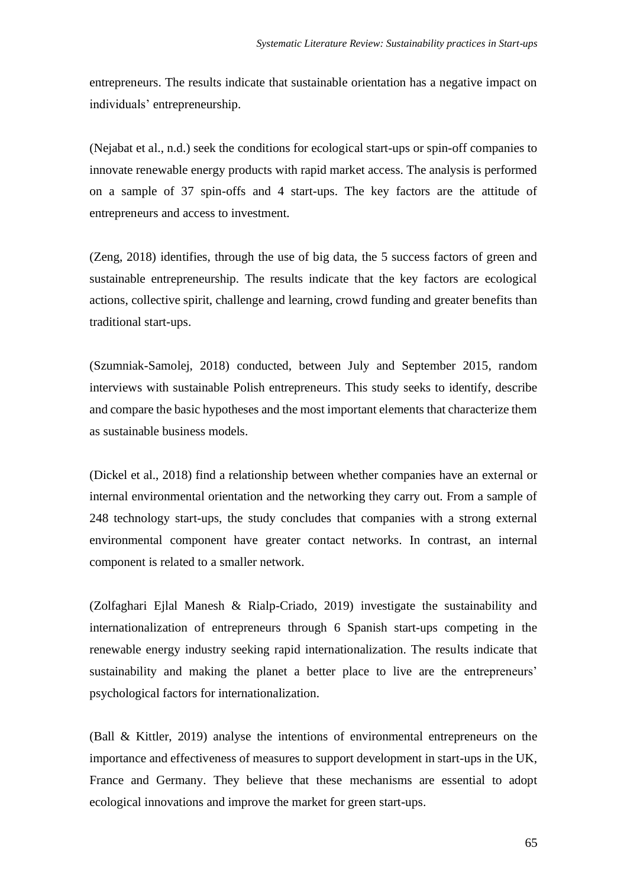entrepreneurs. The results indicate that sustainable orientation has a negative impact on individuals' entrepreneurship.

(Nejabat et al., n.d.) seek the conditions for ecological start-ups or spin-off companies to innovate renewable energy products with rapid market access. The analysis is performed on a sample of 37 spin-offs and 4 start-ups. The key factors are the attitude of entrepreneurs and access to investment.

(Zeng, 2018) identifies, through the use of big data, the 5 success factors of green and sustainable entrepreneurship. The results indicate that the key factors are ecological actions, collective spirit, challenge and learning, crowd funding and greater benefits than traditional start-ups.

(Szumniak-Samolej, 2018) conducted, between July and September 2015, random interviews with sustainable Polish entrepreneurs. This study seeks to identify, describe and compare the basic hypotheses and the most important elements that characterize them as sustainable business models.

(Dickel et al., 2018) find a relationship between whether companies have an external or internal environmental orientation and the networking they carry out. From a sample of 248 technology start-ups, the study concludes that companies with a strong external environmental component have greater contact networks. In contrast, an internal component is related to a smaller network.

(Zolfaghari Ejlal Manesh & Rialp-Criado, 2019) investigate the sustainability and internationalization of entrepreneurs through 6 Spanish start-ups competing in the renewable energy industry seeking rapid internationalization. The results indicate that sustainability and making the planet a better place to live are the entrepreneurs' psychological factors for internationalization.

(Ball & Kittler, 2019) analyse the intentions of environmental entrepreneurs on the importance and effectiveness of measures to support development in start-ups in the UK, France and Germany. They believe that these mechanisms are essential to adopt ecological innovations and improve the market for green start-ups.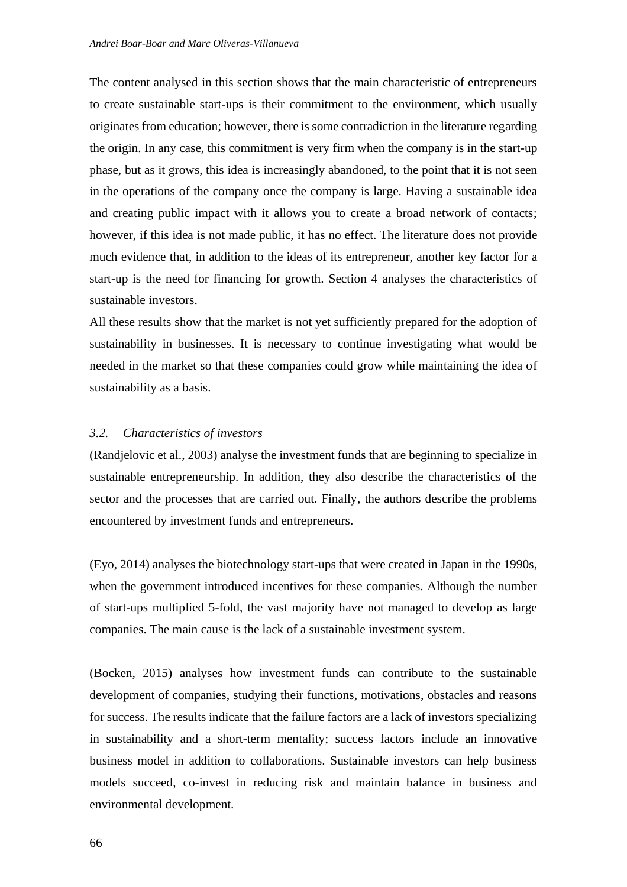The content analysed in this section shows that the main characteristic of entrepreneurs to create sustainable start-ups is their commitment to the environment, which usually originates from education; however, there is some contradiction in the literature regarding the origin. In any case, this commitment is very firm when the company is in the start-up phase, but as it grows, this idea is increasingly abandoned, to the point that it is not seen in the operations of the company once the company is large. Having a sustainable idea and creating public impact with it allows you to create a broad network of contacts; however, if this idea is not made public, it has no effect. The literature does not provide much evidence that, in addition to the ideas of its entrepreneur, another key factor for a start-up is the need for financing for growth. Section 4 analyses the characteristics of sustainable investors.

All these results show that the market is not yet sufficiently prepared for the adoption of sustainability in businesses. It is necessary to continue investigating what would be needed in the market so that these companies could grow while maintaining the idea of sustainability as a basis.

#### *3.2. Characteristics of investors*

(Randjelovic et al., 2003) analyse the investment funds that are beginning to specialize in sustainable entrepreneurship. In addition, they also describe the characteristics of the sector and the processes that are carried out. Finally, the authors describe the problems encountered by investment funds and entrepreneurs.

(Eyo, 2014) analyses the biotechnology start-ups that were created in Japan in the 1990s, when the government introduced incentives for these companies. Although the number of start-ups multiplied 5-fold, the vast majority have not managed to develop as large companies. The main cause is the lack of a sustainable investment system.

(Bocken, 2015) analyses how investment funds can contribute to the sustainable development of companies, studying their functions, motivations, obstacles and reasons for success. The results indicate that the failure factors are a lack of investors specializing in sustainability and a short-term mentality; success factors include an innovative business model in addition to collaborations. Sustainable investors can help business models succeed, co-invest in reducing risk and maintain balance in business and environmental development.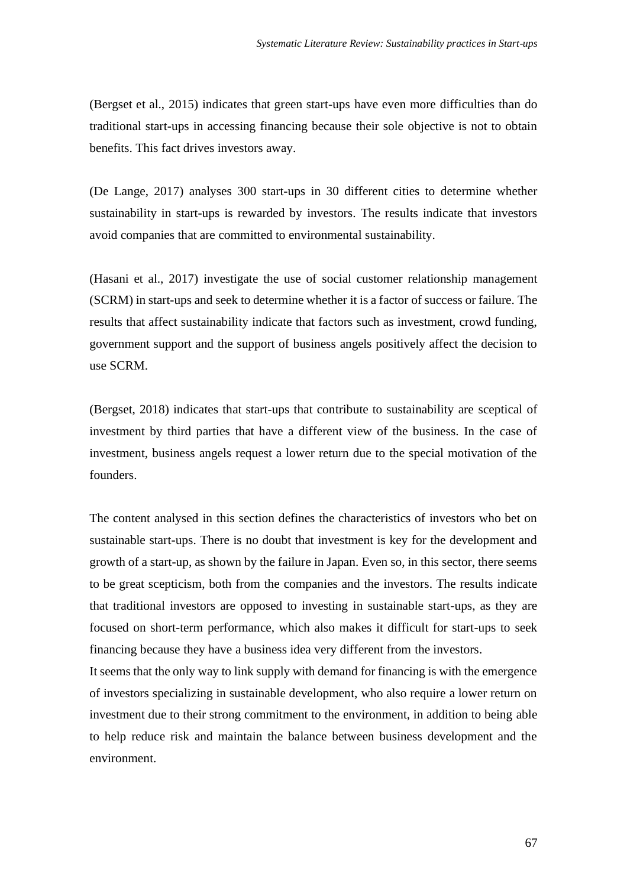(Bergset et al., 2015) indicates that green start-ups have even more difficulties than do traditional start-ups in accessing financing because their sole objective is not to obtain benefits. This fact drives investors away.

(De Lange, 2017) analyses 300 start-ups in 30 different cities to determine whether sustainability in start-ups is rewarded by investors. The results indicate that investors avoid companies that are committed to environmental sustainability.

(Hasani et al., 2017) investigate the use of social customer relationship management (SCRM) in start-ups and seek to determine whether it is a factor of success or failure. The results that affect sustainability indicate that factors such as investment, crowd funding, government support and the support of business angels positively affect the decision to use SCRM.

(Bergset, 2018) indicates that start-ups that contribute to sustainability are sceptical of investment by third parties that have a different view of the business. In the case of investment, business angels request a lower return due to the special motivation of the founders.

The content analysed in this section defines the characteristics of investors who bet on sustainable start-ups. There is no doubt that investment is key for the development and growth of a start-up, as shown by the failure in Japan. Even so, in this sector, there seems to be great scepticism, both from the companies and the investors. The results indicate that traditional investors are opposed to investing in sustainable start-ups, as they are focused on short-term performance, which also makes it difficult for start-ups to seek financing because they have a business idea very different from the investors.

It seems that the only way to link supply with demand for financing is with the emergence of investors specializing in sustainable development, who also require a lower return on investment due to their strong commitment to the environment, in addition to being able to help reduce risk and maintain the balance between business development and the environment.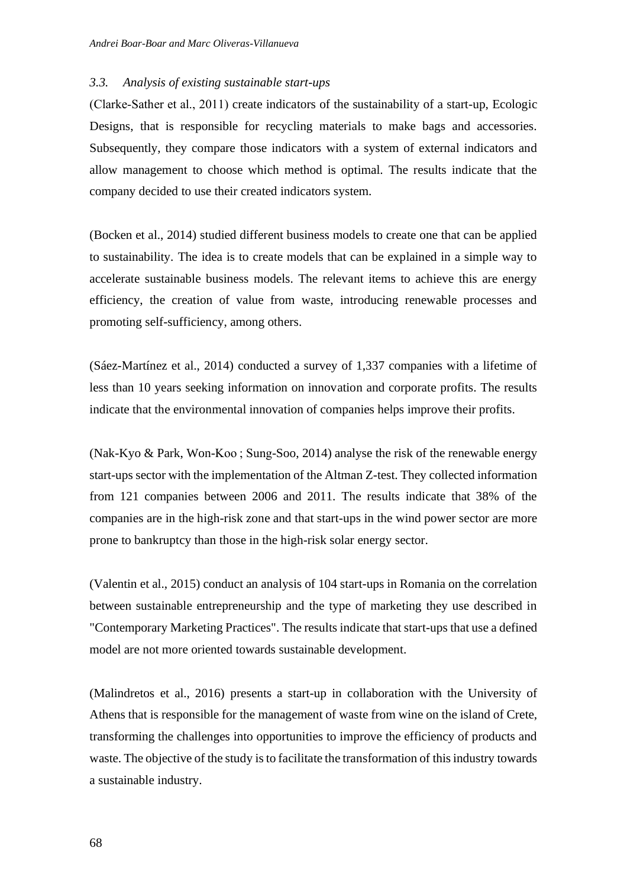### *3.3. Analysis of existing sustainable start-ups*

(Clarke‐Sather et al., 2011) create indicators of the sustainability of a start-up, Ecologic Designs, that is responsible for recycling materials to make bags and accessories. Subsequently, they compare those indicators with a system of external indicators and allow management to choose which method is optimal. The results indicate that the company decided to use their created indicators system.

(Bocken et al., 2014) studied different business models to create one that can be applied to sustainability. The idea is to create models that can be explained in a simple way to accelerate sustainable business models. The relevant items to achieve this are energy efficiency, the creation of value from waste, introducing renewable processes and promoting self-sufficiency, among others.

(Sáez-Martínez et al., 2014) conducted a survey of 1,337 companies with a lifetime of less than 10 years seeking information on innovation and corporate profits. The results indicate that the environmental innovation of companies helps improve their profits.

(Nak-Kyo & Park, Won-Koo ; Sung-Soo, 2014) analyse the risk of the renewable energy start-ups sector with the implementation of the Altman Z-test. They collected information from 121 companies between 2006 and 2011. The results indicate that 38% of the companies are in the high-risk zone and that start-ups in the wind power sector are more prone to bankruptcy than those in the high-risk solar energy sector.

(Valentin et al., 2015) conduct an analysis of 104 start-ups in Romania on the correlation between sustainable entrepreneurship and the type of marketing they use described in "Contemporary Marketing Practices". The results indicate that start-ups that use a defined model are not more oriented towards sustainable development.

(Malindretos et al., 2016) presents a start-up in collaboration with the University of Athens that is responsible for the management of waste from wine on the island of Crete, transforming the challenges into opportunities to improve the efficiency of products and waste. The objective of the study is to facilitate the transformation of this industry towards a sustainable industry.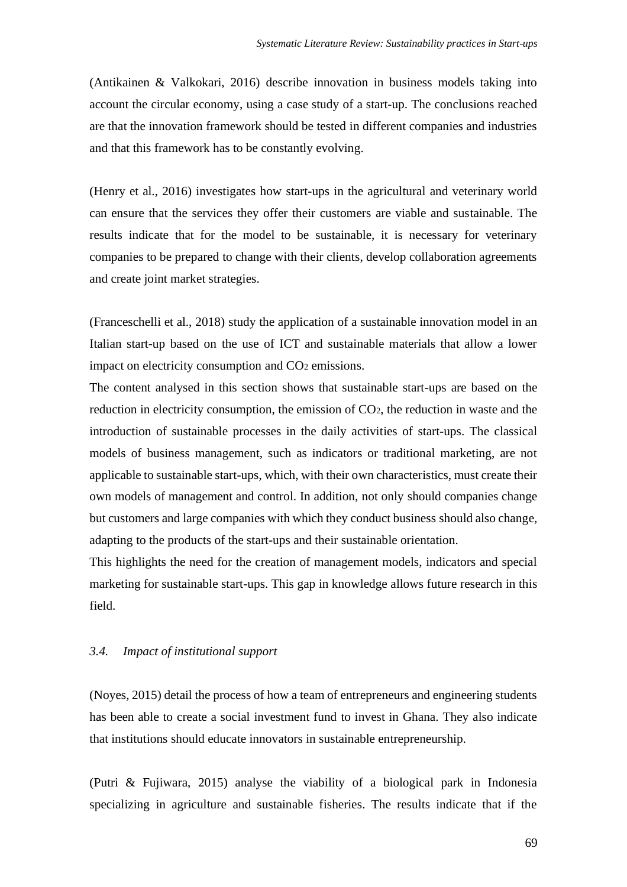(Antikainen & Valkokari, 2016) describe innovation in business models taking into account the circular economy, using a case study of a start-up. The conclusions reached are that the innovation framework should be tested in different companies and industries and that this framework has to be constantly evolving.

(Henry et al., 2016) investigates how start-ups in the agricultural and veterinary world can ensure that the services they offer their customers are viable and sustainable. The results indicate that for the model to be sustainable, it is necessary for veterinary companies to be prepared to change with their clients, develop collaboration agreements and create joint market strategies.

(Franceschelli et al., 2018) study the application of a sustainable innovation model in an Italian start-up based on the use of ICT and sustainable materials that allow a lower impact on electricity consumption and CO<sub>2</sub> emissions.

The content analysed in this section shows that sustainable start-ups are based on the reduction in electricity consumption, the emission of CO2, the reduction in waste and the introduction of sustainable processes in the daily activities of start-ups. The classical models of business management, such as indicators or traditional marketing, are not applicable to sustainable start-ups, which, with their own characteristics, must create their own models of management and control. In addition, not only should companies change but customers and large companies with which they conduct business should also change, adapting to the products of the start-ups and their sustainable orientation.

This highlights the need for the creation of management models, indicators and special marketing for sustainable start-ups. This gap in knowledge allows future research in this field.

### *3.4. Impact of institutional support*

(Noyes, 2015) detail the process of how a team of entrepreneurs and engineering students has been able to create a social investment fund to invest in Ghana. They also indicate that institutions should educate innovators in sustainable entrepreneurship.

(Putri & Fujiwara, 2015) analyse the viability of a biological park in Indonesia specializing in agriculture and sustainable fisheries. The results indicate that if the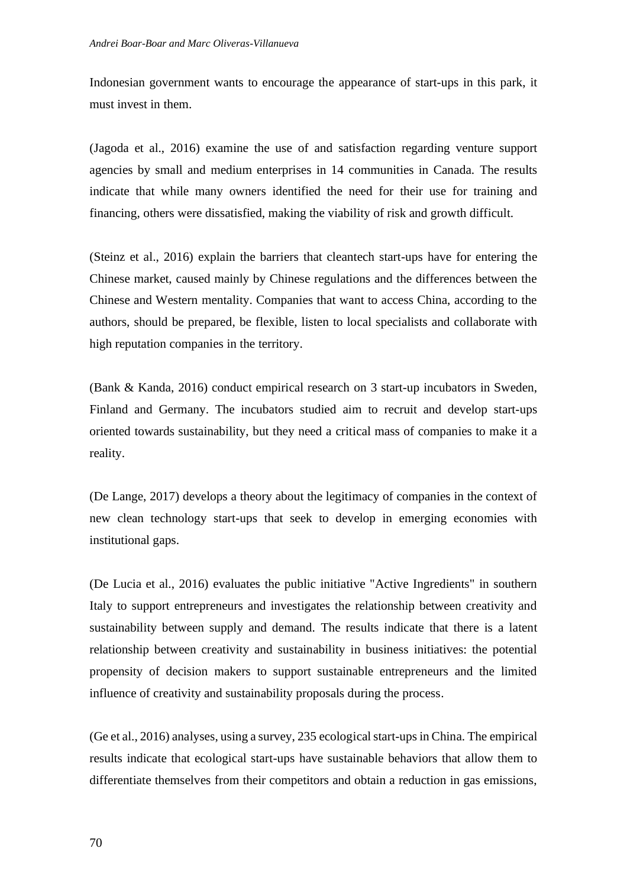Indonesian government wants to encourage the appearance of start-ups in this park, it must invest in them.

(Jagoda et al., 2016) examine the use of and satisfaction regarding venture support agencies by small and medium enterprises in 14 communities in Canada. The results indicate that while many owners identified the need for their use for training and financing, others were dissatisfied, making the viability of risk and growth difficult.

(Steinz et al., 2016) explain the barriers that cleantech start-ups have for entering the Chinese market, caused mainly by Chinese regulations and the differences between the Chinese and Western mentality. Companies that want to access China, according to the authors, should be prepared, be flexible, listen to local specialists and collaborate with high reputation companies in the territory.

(Bank & Kanda, 2016) conduct empirical research on 3 start-up incubators in Sweden, Finland and Germany. The incubators studied aim to recruit and develop start-ups oriented towards sustainability, but they need a critical mass of companies to make it a reality.

(De Lange, 2017) develops a theory about the legitimacy of companies in the context of new clean technology start-ups that seek to develop in emerging economies with institutional gaps.

(De Lucia et al., 2016) evaluates the public initiative "Active Ingredients" in southern Italy to support entrepreneurs and investigates the relationship between creativity and sustainability between supply and demand. The results indicate that there is a latent relationship between creativity and sustainability in business initiatives: the potential propensity of decision makers to support sustainable entrepreneurs and the limited influence of creativity and sustainability proposals during the process.

(Ge et al., 2016) analyses, using a survey, 235 ecological start-ups in China. The empirical results indicate that ecological start-ups have sustainable behaviors that allow them to differentiate themselves from their competitors and obtain a reduction in gas emissions,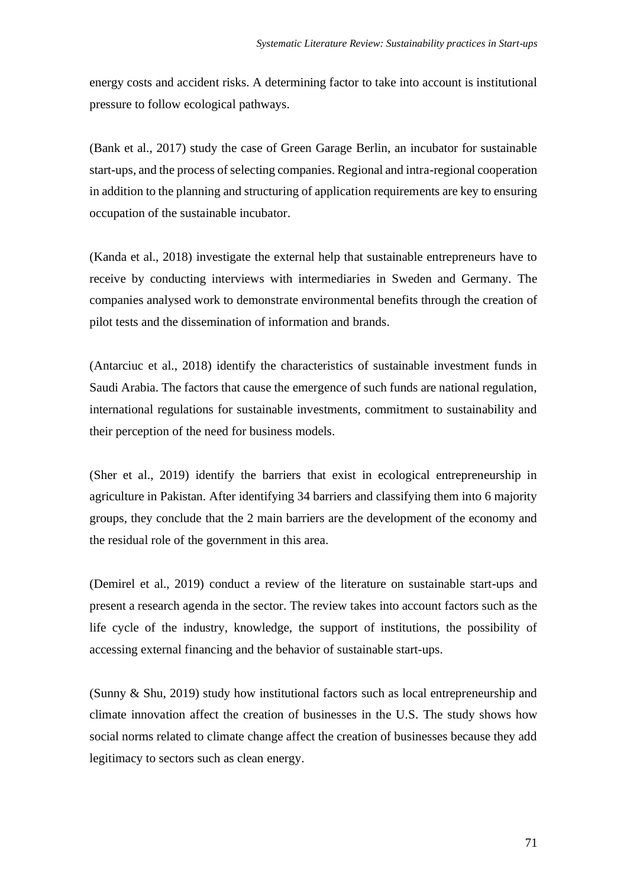energy costs and accident risks. A determining factor to take into account is institutional pressure to follow ecological pathways.

(Bank et al., 2017) study the case of Green Garage Berlin, an incubator for sustainable start-ups, and the process of selecting companies. Regional and intra-regional cooperation in addition to the planning and structuring of application requirements are key to ensuring occupation of the sustainable incubator.

(Kanda et al., 2018) investigate the external help that sustainable entrepreneurs have to receive by conducting interviews with intermediaries in Sweden and Germany. The companies analysed work to demonstrate environmental benefits through the creation of pilot tests and the dissemination of information and brands.

(Antarciuc et al., 2018) identify the characteristics of sustainable investment funds in Saudi Arabia. The factors that cause the emergence of such funds are national regulation, international regulations for sustainable investments, commitment to sustainability and their perception of the need for business models.

(Sher et al., 2019) identify the barriers that exist in ecological entrepreneurship in agriculture in Pakistan. After identifying 34 barriers and classifying them into 6 majority groups, they conclude that the 2 main barriers are the development of the economy and the residual role of the government in this area.

(Demirel et al., 2019) conduct a review of the literature on sustainable start-ups and present a research agenda in the sector. The review takes into account factors such as the life cycle of the industry, knowledge, the support of institutions, the possibility of accessing external financing and the behavior of sustainable start-ups.

(Sunny & Shu, 2019) study how institutional factors such as local entrepreneurship and climate innovation affect the creation of businesses in the U.S. The study shows how social norms related to climate change affect the creation of businesses because they add legitimacy to sectors such as clean energy.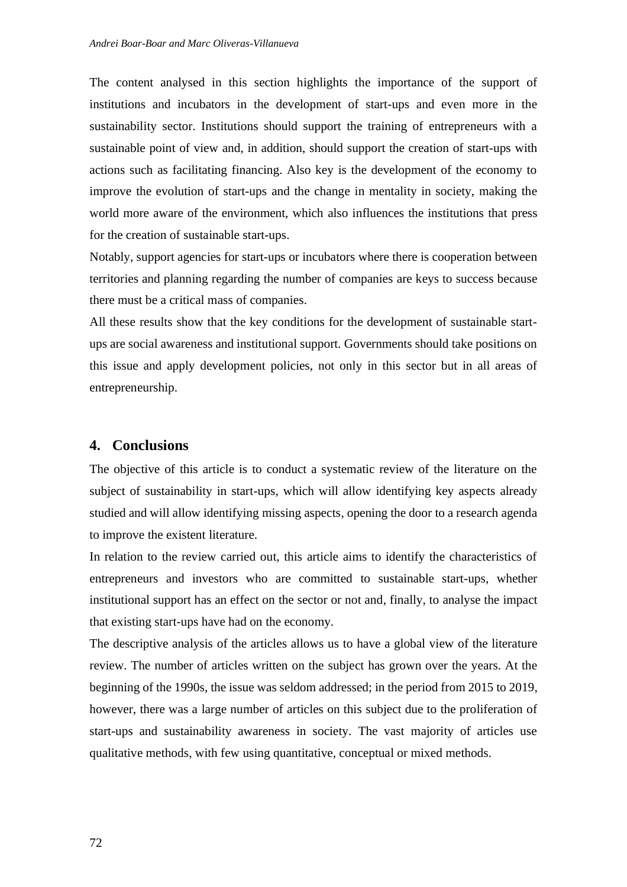The content analysed in this section highlights the importance of the support of institutions and incubators in the development of start-ups and even more in the sustainability sector. Institutions should support the training of entrepreneurs with a sustainable point of view and, in addition, should support the creation of start-ups with actions such as facilitating financing. Also key is the development of the economy to improve the evolution of start-ups and the change in mentality in society, making the world more aware of the environment, which also influences the institutions that press for the creation of sustainable start-ups.

Notably, support agencies for start-ups or incubators where there is cooperation between territories and planning regarding the number of companies are keys to success because there must be a critical mass of companies.

All these results show that the key conditions for the development of sustainable startups are social awareness and institutional support. Governments should take positions on this issue and apply development policies, not only in this sector but in all areas of entrepreneurship.

### **4. Conclusions**

The objective of this article is to conduct a systematic review of the literature on the subject of sustainability in start-ups, which will allow identifying key aspects already studied and will allow identifying missing aspects, opening the door to a research agenda to improve the existent literature.

In relation to the review carried out, this article aims to identify the characteristics of entrepreneurs and investors who are committed to sustainable start-ups, whether institutional support has an effect on the sector or not and, finally, to analyse the impact that existing start-ups have had on the economy.

The descriptive analysis of the articles allows us to have a global view of the literature review. The number of articles written on the subject has grown over the years. At the beginning of the 1990s, the issue was seldom addressed; in the period from 2015 to 2019, however, there was a large number of articles on this subject due to the proliferation of start-ups and sustainability awareness in society. The vast majority of articles use qualitative methods, with few using quantitative, conceptual or mixed methods.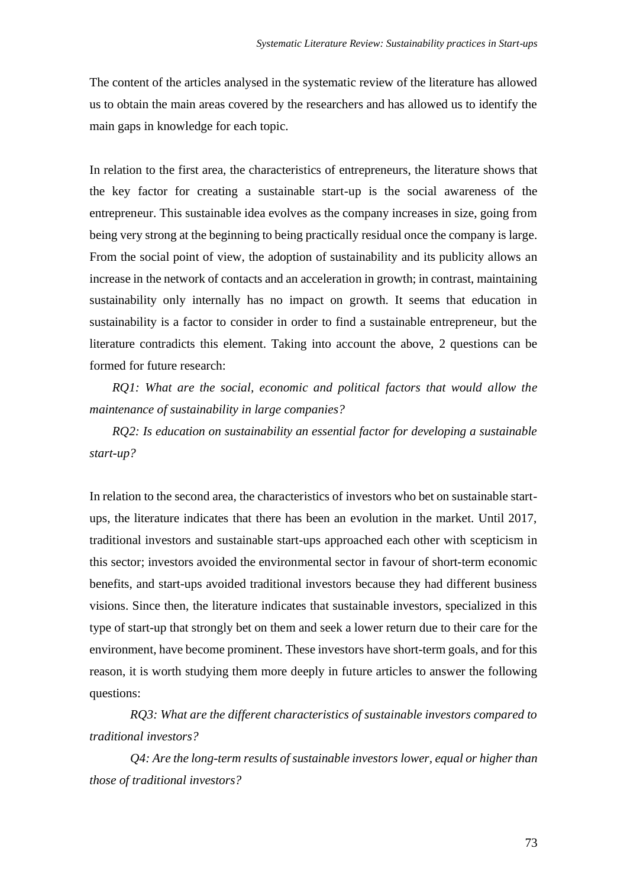The content of the articles analysed in the systematic review of the literature has allowed us to obtain the main areas covered by the researchers and has allowed us to identify the main gaps in knowledge for each topic.

In relation to the first area, the characteristics of entrepreneurs, the literature shows that the key factor for creating a sustainable start-up is the social awareness of the entrepreneur. This sustainable idea evolves as the company increases in size, going from being very strong at the beginning to being practically residual once the company is large. From the social point of view, the adoption of sustainability and its publicity allows an increase in the network of contacts and an acceleration in growth; in contrast, maintaining sustainability only internally has no impact on growth. It seems that education in sustainability is a factor to consider in order to find a sustainable entrepreneur, but the literature contradicts this element. Taking into account the above, 2 questions can be formed for future research:

*RQ1: What are the social, economic and political factors that would allow the maintenance of sustainability in large companies?*

*RQ2: Is education on sustainability an essential factor for developing a sustainable start-up?*

In relation to the second area, the characteristics of investors who bet on sustainable startups, the literature indicates that there has been an evolution in the market. Until 2017, traditional investors and sustainable start-ups approached each other with scepticism in this sector; investors avoided the environmental sector in favour of short-term economic benefits, and start-ups avoided traditional investors because they had different business visions. Since then, the literature indicates that sustainable investors, specialized in this type of start-up that strongly bet on them and seek a lower return due to their care for the environment, have become prominent. These investors have short-term goals, and for this reason, it is worth studying them more deeply in future articles to answer the following questions:

*RQ3: What are the different characteristics of sustainable investors compared to traditional investors?*

*Q4: Are the long-term results of sustainable investors lower, equal or higher than those of traditional investors?*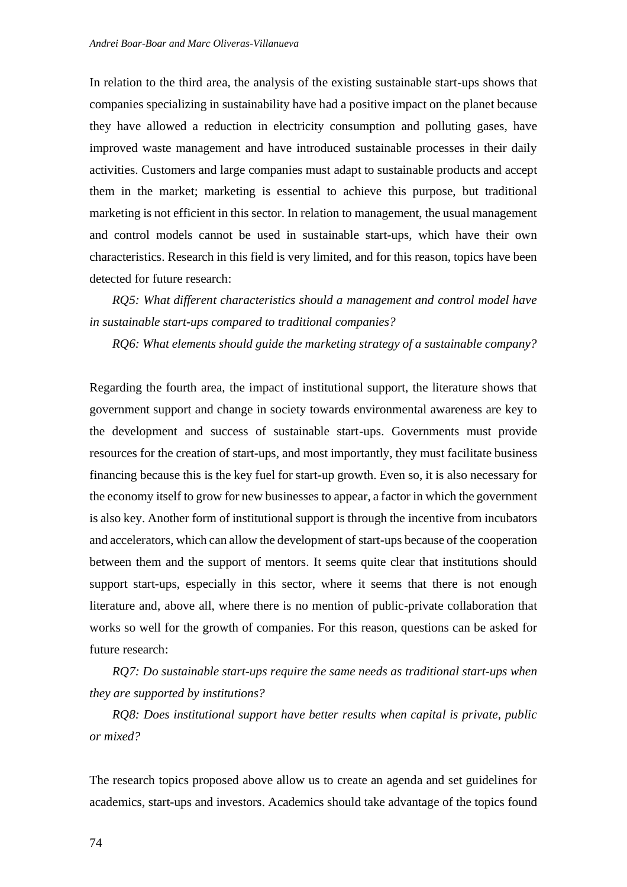In relation to the third area, the analysis of the existing sustainable start-ups shows that companies specializing in sustainability have had a positive impact on the planet because they have allowed a reduction in electricity consumption and polluting gases, have improved waste management and have introduced sustainable processes in their daily activities. Customers and large companies must adapt to sustainable products and accept them in the market; marketing is essential to achieve this purpose, but traditional marketing is not efficient in this sector. In relation to management, the usual management and control models cannot be used in sustainable start-ups, which have their own characteristics. Research in this field is very limited, and for this reason, topics have been detected for future research:

*RQ5: What different characteristics should a management and control model have in sustainable start-ups compared to traditional companies?*

*RQ6: What elements should guide the marketing strategy of a sustainable company?*

Regarding the fourth area, the impact of institutional support, the literature shows that government support and change in society towards environmental awareness are key to the development and success of sustainable start-ups. Governments must provide resources for the creation of start-ups, and most importantly, they must facilitate business financing because this is the key fuel for start-up growth. Even so, it is also necessary for the economy itself to grow for new businesses to appear, a factor in which the government is also key. Another form of institutional support is through the incentive from incubators and accelerators, which can allow the development of start-ups because of the cooperation between them and the support of mentors. It seems quite clear that institutions should support start-ups, especially in this sector, where it seems that there is not enough literature and, above all, where there is no mention of public-private collaboration that works so well for the growth of companies. For this reason, questions can be asked for future research:

*RQ7: Do sustainable start-ups require the same needs as traditional start-ups when they are supported by institutions?*

*RQ8: Does institutional support have better results when capital is private, public or mixed?*

The research topics proposed above allow us to create an agenda and set guidelines for academics, start-ups and investors. Academics should take advantage of the topics found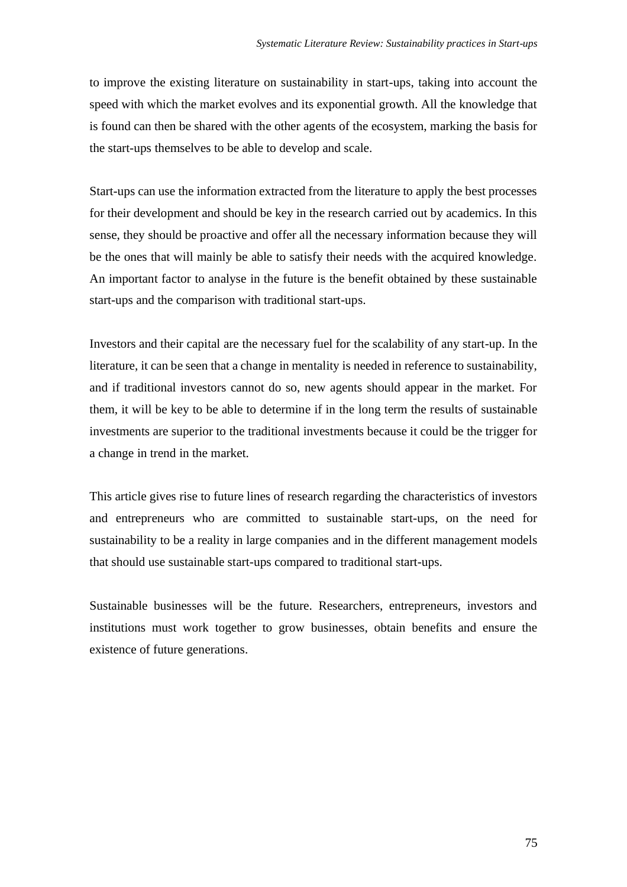to improve the existing literature on sustainability in start-ups, taking into account the speed with which the market evolves and its exponential growth. All the knowledge that is found can then be shared with the other agents of the ecosystem, marking the basis for the start-ups themselves to be able to develop and scale.

Start-ups can use the information extracted from the literature to apply the best processes for their development and should be key in the research carried out by academics. In this sense, they should be proactive and offer all the necessary information because they will be the ones that will mainly be able to satisfy their needs with the acquired knowledge. An important factor to analyse in the future is the benefit obtained by these sustainable start-ups and the comparison with traditional start-ups.

Investors and their capital are the necessary fuel for the scalability of any start-up. In the literature, it can be seen that a change in mentality is needed in reference to sustainability, and if traditional investors cannot do so, new agents should appear in the market. For them, it will be key to be able to determine if in the long term the results of sustainable investments are superior to the traditional investments because it could be the trigger for a change in trend in the market.

This article gives rise to future lines of research regarding the characteristics of investors and entrepreneurs who are committed to sustainable start-ups, on the need for sustainability to be a reality in large companies and in the different management models that should use sustainable start-ups compared to traditional start-ups.

Sustainable businesses will be the future. Researchers, entrepreneurs, investors and institutions must work together to grow businesses, obtain benefits and ensure the existence of future generations.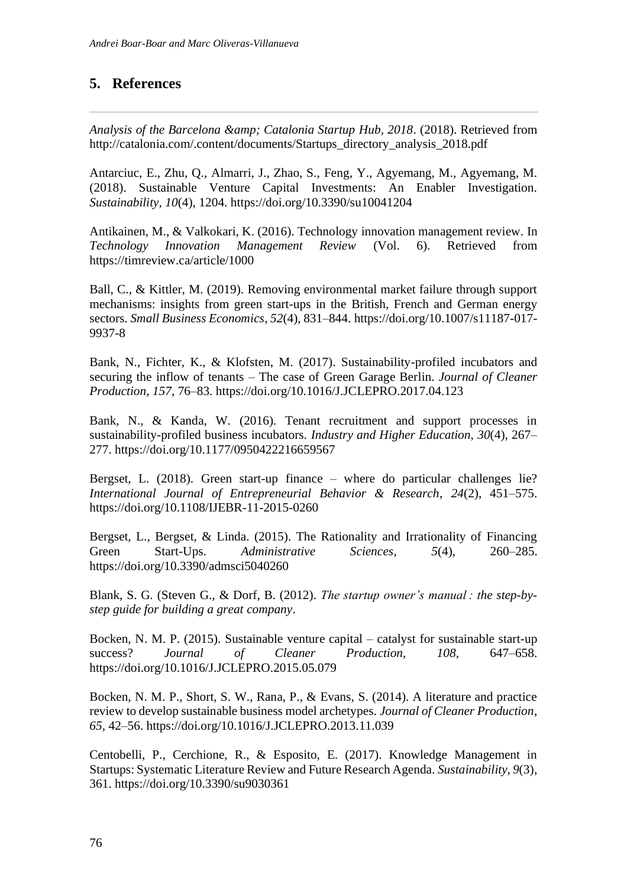## **5. References**

*Analysis of the Barcelona & Catalonia Startup Hub, 2018*. (2018). Retrieved from http://catalonia.com/.content/documents/Startups\_directory\_analysis\_2018.pdf

Antarciuc, E., Zhu, Q., Almarri, J., Zhao, S., Feng, Y., Agyemang, M., Agyemang, M. (2018). Sustainable Venture Capital Investments: An Enabler Investigation. *Sustainability*, *10*(4), 1204. https://doi.org/10.3390/su10041204

Antikainen, M., & Valkokari, K. (2016). Technology innovation management review. In *Technology Innovation Management Review* (Vol. 6). Retrieved from https://timreview.ca/article/1000

Ball, C., & Kittler, M. (2019). Removing environmental market failure through support mechanisms: insights from green start-ups in the British, French and German energy sectors. *Small Business Economics*, *52*(4), 831–844. https://doi.org/10.1007/s11187-017- 9937-8

Bank, N., Fichter, K., & Klofsten, M. (2017). Sustainability-profiled incubators and securing the inflow of tenants – The case of Green Garage Berlin. *Journal of Cleaner Production*, *157*, 76–83. https://doi.org/10.1016/J.JCLEPRO.2017.04.123

Bank, N., & Kanda, W. (2016). Tenant recruitment and support processes in sustainability-profiled business incubators. *Industry and Higher Education*, *30*(4), 267– 277. https://doi.org/10.1177/0950422216659567

Bergset, L. (2018). Green start-up finance – where do particular challenges lie? *International Journal of Entrepreneurial Behavior & Research*, *24*(2), 451–575. https://doi.org/10.1108/IJEBR-11-2015-0260

Bergset, L., Bergset, & Linda. (2015). The Rationality and Irrationality of Financing Green Start-Ups. *Administrative Sciences*, *5*(4), 260–285. https://doi.org/10.3390/admsci5040260

Blank, S. G. (Steven G., & Dorf, B. (2012). *The startup owner's manual : the step-bystep guide for building a great company*.

Bocken, N. M. P. (2015). Sustainable venture capital – catalyst for sustainable start-up success? *Journal of Cleaner Production*, *108*, 647–658. https://doi.org/10.1016/J.JCLEPRO.2015.05.079

Bocken, N. M. P., Short, S. W., Rana, P., & Evans, S. (2014). A literature and practice review to develop sustainable business model archetypes. *Journal of Cleaner Production*, *65*, 42–56. https://doi.org/10.1016/J.JCLEPRO.2013.11.039

Centobelli, P., Cerchione, R., & Esposito, E. (2017). Knowledge Management in Startups: Systematic Literature Review and Future Research Agenda. *Sustainability*, *9*(3), 361. https://doi.org/10.3390/su9030361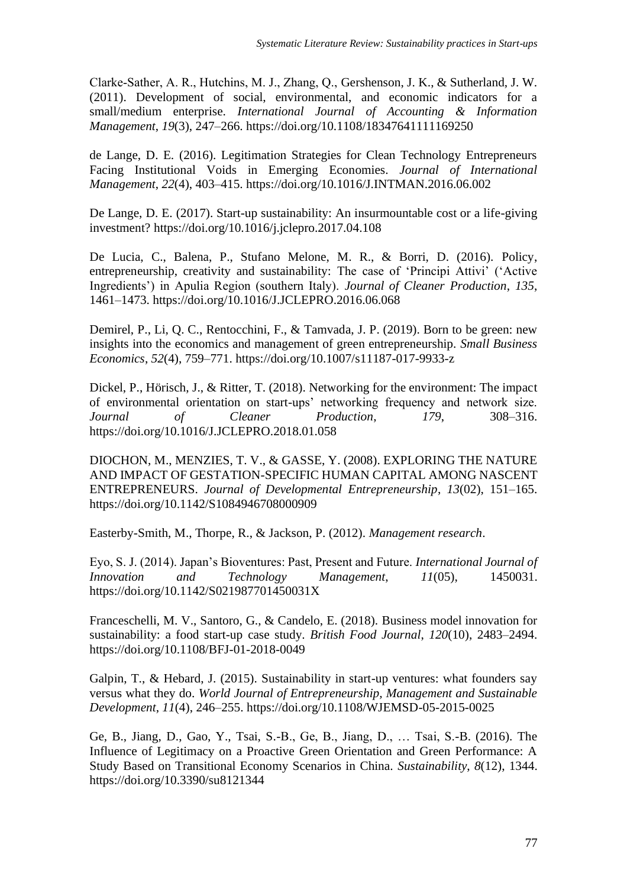Clarke‐Sather, A. R., Hutchins, M. J., Zhang, Q., Gershenson, J. K., & Sutherland, J. W. (2011). Development of social, environmental, and economic indicators for a small/medium enterprise. *International Journal of Accounting & Information Management*, *19*(3), 247–266. https://doi.org/10.1108/18347641111169250

de Lange, D. E. (2016). Legitimation Strategies for Clean Technology Entrepreneurs Facing Institutional Voids in Emerging Economies. *Journal of International Management*, *22*(4), 403–415. https://doi.org/10.1016/J.INTMAN.2016.06.002

De Lange, D. E. (2017). Start-up sustainability: An insurmountable cost or a life-giving investment? https://doi.org/10.1016/j.jclepro.2017.04.108

De Lucia, C., Balena, P., Stufano Melone, M. R., & Borri, D. (2016). Policy, entrepreneurship, creativity and sustainability: The case of 'Principi Attivi' ('Active Ingredients') in Apulia Region (southern Italy). *Journal of Cleaner Production*, *135*, 1461–1473. https://doi.org/10.1016/J.JCLEPRO.2016.06.068

Demirel, P., Li, Q. C., Rentocchini, F., & Tamvada, J. P. (2019). Born to be green: new insights into the economics and management of green entrepreneurship. *Small Business Economics*, *52*(4), 759–771. https://doi.org/10.1007/s11187-017-9933-z

Dickel, P., Hörisch, J., & Ritter, T. (2018). Networking for the environment: The impact of environmental orientation on start-ups' networking frequency and network size. *Journal of Cleaner Production*, *179*, 308–316. https://doi.org/10.1016/J.JCLEPRO.2018.01.058

DIOCHON, M., MENZIES, T. V., & GASSE, Y. (2008). EXPLORING THE NATURE AND IMPACT OF GESTATION-SPECIFIC HUMAN CAPITAL AMONG NASCENT ENTREPRENEURS. *Journal of Developmental Entrepreneurship*, *13*(02), 151–165. https://doi.org/10.1142/S1084946708000909

Easterby-Smith, M., Thorpe, R., & Jackson, P. (2012). *Management research*.

Eyo, S. J. (2014). Japan's Bioventures: Past, Present and Future. *International Journal of Innovation and Technology Management*, *11*(05), 1450031. https://doi.org/10.1142/S021987701450031X

Franceschelli, M. V., Santoro, G., & Candelo, E. (2018). Business model innovation for sustainability: a food start-up case study. *British Food Journal*, *120*(10), 2483–2494. https://doi.org/10.1108/BFJ-01-2018-0049

Galpin, T., & Hebard, J. (2015). Sustainability in start-up ventures: what founders say versus what they do. *World Journal of Entrepreneurship, Management and Sustainable Development*, *11*(4), 246–255. https://doi.org/10.1108/WJEMSD-05-2015-0025

Ge, B., Jiang, D., Gao, Y., Tsai, S.-B., Ge, B., Jiang, D., … Tsai, S.-B. (2016). The Influence of Legitimacy on a Proactive Green Orientation and Green Performance: A Study Based on Transitional Economy Scenarios in China. *Sustainability*, *8*(12), 1344. https://doi.org/10.3390/su8121344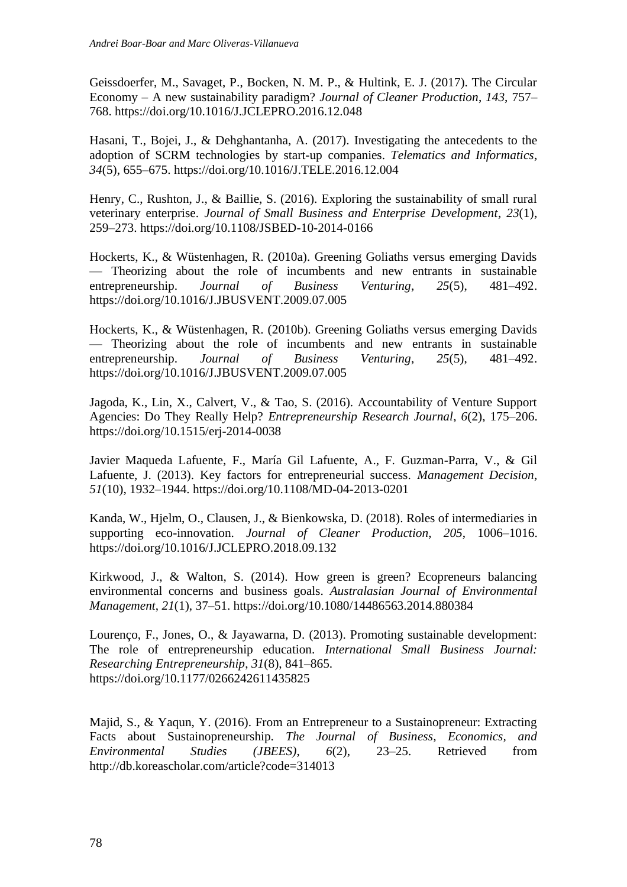Geissdoerfer, M., Savaget, P., Bocken, N. M. P., & Hultink, E. J. (2017). The Circular Economy – A new sustainability paradigm? *Journal of Cleaner Production*, *143*, 757– 768. https://doi.org/10.1016/J.JCLEPRO.2016.12.048

Hasani, T., Bojei, J., & Dehghantanha, A. (2017). Investigating the antecedents to the adoption of SCRM technologies by start-up companies. *Telematics and Informatics*, *34*(5), 655–675. https://doi.org/10.1016/J.TELE.2016.12.004

Henry, C., Rushton, J., & Baillie, S. (2016). Exploring the sustainability of small rural veterinary enterprise. *Journal of Small Business and Enterprise Development*, *23*(1), 259–273. https://doi.org/10.1108/JSBED-10-2014-0166

Hockerts, K., & Wüstenhagen, R. (2010a). Greening Goliaths versus emerging Davids — Theorizing about the role of incumbents and new entrants in sustainable entrepreneurship. *Journal of Business Venturing*, *25*(5), 481–492. https://doi.org/10.1016/J.JBUSVENT.2009.07.005

Hockerts, K., & Wüstenhagen, R. (2010b). Greening Goliaths versus emerging Davids — Theorizing about the role of incumbents and new entrants in sustainable entrepreneurship. *Journal of Business Venturing*, *25*(5), 481–492. https://doi.org/10.1016/J.JBUSVENT.2009.07.005

Jagoda, K., Lin, X., Calvert, V., & Tao, S. (2016). Accountability of Venture Support Agencies: Do They Really Help? *Entrepreneurship Research Journal*, *6*(2), 175–206. https://doi.org/10.1515/erj-2014-0038

Javier Maqueda Lafuente, F., María Gil Lafuente, A., F. Guzman-Parra, V., & Gil Lafuente, J. (2013). Key factors for entrepreneurial success. *Management Decision*, *51*(10), 1932–1944. https://doi.org/10.1108/MD-04-2013-0201

Kanda, W., Hjelm, O., Clausen, J., & Bienkowska, D. (2018). Roles of intermediaries in supporting eco-innovation. *Journal of Cleaner Production*, *205*, 1006–1016. https://doi.org/10.1016/J.JCLEPRO.2018.09.132

Kirkwood, J., & Walton, S. (2014). How green is green? Ecopreneurs balancing environmental concerns and business goals. *Australasian Journal of Environmental Management*, *21*(1), 37–51. https://doi.org/10.1080/14486563.2014.880384

Lourenço, F., Jones, O., & Jayawarna, D. (2013). Promoting sustainable development: The role of entrepreneurship education. *International Small Business Journal: Researching Entrepreneurship*, *31*(8), 841–865. https://doi.org/10.1177/0266242611435825

Majid, S., & Yaqun, Y. (2016). From an Entrepreneur to a Sustainopreneur: Extracting Facts about Sustainopreneurship. *The Journal of Business, Economics, and Environmental Studies (JBEES)*, *6*(2), 23–25. Retrieved from http://db.koreascholar.com/article?code=314013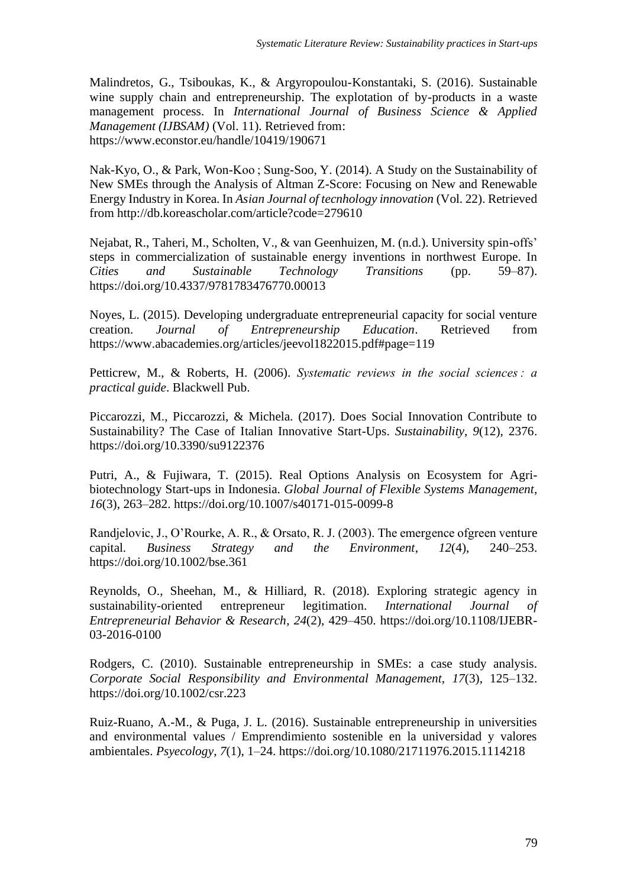Malindretos, G., Tsiboukas, K., & Argyropoulou-Konstantaki, S. (2016). Sustainable wine supply chain and entrepreneurship. The explotation of by-products in a waste management process. In *International Journal of Business Science & Applied Management (IJBSAM)* (Vol. 11). Retrieved from: https://www.econstor.eu/handle/10419/190671

Nak-Kyo, O., & Park, Won-Koo ; Sung-Soo, Y. (2014). A Study on the Sustainability of New SMEs through the Analysis of Altman Z-Score: Focusing on New and Renewable Energy Industry in Korea. In *Asian Journal of tecnhology innovation* (Vol. 22). Retrieved from http://db.koreascholar.com/article?code=279610

Nejabat, R., Taheri, M., Scholten, V., & van Geenhuizen, M. (n.d.). University spin-offs' steps in commercialization of sustainable energy inventions in northwest Europe. In *Cities and Sustainable Technology Transitions* (pp. 59–87). https://doi.org/10.4337/9781783476770.00013

Noyes, L. (2015). Developing undergraduate entrepreneurial capacity for social venture creation. *Journal of Entrepreneurship Education*. Retrieved from https://www.abacademies.org/articles/jeevol1822015.pdf#page=119

Petticrew, M., & Roberts, H. (2006). *Systematic reviews in the social sciences : a practical guide*. Blackwell Pub.

Piccarozzi, M., Piccarozzi, & Michela. (2017). Does Social Innovation Contribute to Sustainability? The Case of Italian Innovative Start-Ups. *Sustainability*, *9*(12), 2376. https://doi.org/10.3390/su9122376

Putri, A., & Fujiwara, T. (2015). Real Options Analysis on Ecosystem for Agribiotechnology Start-ups in Indonesia. *Global Journal of Flexible Systems Management*, *16*(3), 263–282. https://doi.org/10.1007/s40171-015-0099-8

Randjelovic, J., O'Rourke, A. R., & Orsato, R. J. (2003). The emergence ofgreen venture capital. *Business Strategy and the Environment*, *12*(4), 240–253. https://doi.org/10.1002/bse.361

Reynolds, O., Sheehan, M., & Hilliard, R. (2018). Exploring strategic agency in sustainability-oriented entrepreneur legitimation. *International Journal of Entrepreneurial Behavior & Research*, *24*(2), 429–450. https://doi.org/10.1108/IJEBR-03-2016-0100

Rodgers, C. (2010). Sustainable entrepreneurship in SMEs: a case study analysis. *Corporate Social Responsibility and Environmental Management*, *17*(3), 125–132. https://doi.org/10.1002/csr.223

Ruiz-Ruano, A.-M., & Puga, J. L. (2016). Sustainable entrepreneurship in universities and environmental values / Emprendimiento sostenible en la universidad y valores ambientales. *Psyecology*, *7*(1), 1–24. https://doi.org/10.1080/21711976.2015.1114218